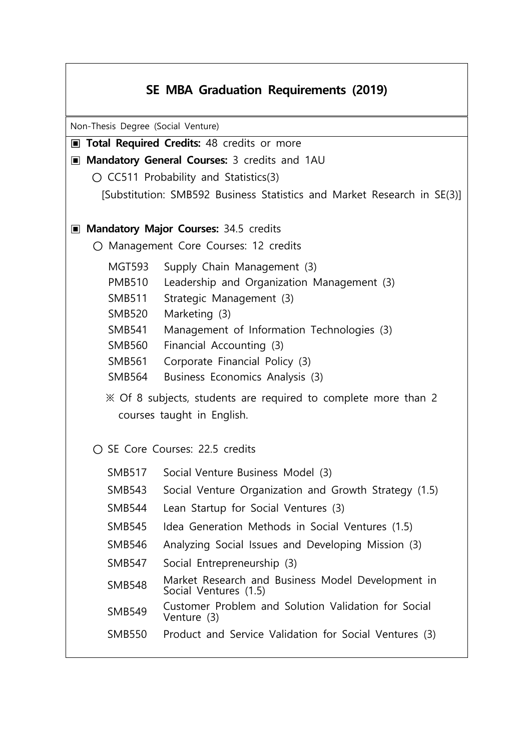## **SE MBA Graduation Requirements (2019)** Non-Thesis Degree (Social Venture) **▣ Total Required Credits:** 48 credits or more ▣ **Mandatory General Courses:** 3 credits and 1AU  **○** CC511 Probability and Statistics(3) [Substitution: SMB592 Business Statistics and Market Research in SE(3)] ▣ **Mandatory Major Courses:** 34.5 credits **○** Management Core Courses: 12 credits MGT593 Supply Chain Management (3) PMB510 Leadership and Organization Management (3) SMB511 Strategic Management (3) SMB520 Marketing (3) SMB541 Management of Information Technologies (3) SMB560 Financial Accounting (3) SMB561 Corporate Financial Policy (3) SMB564 Business Economics Analysis (3) ※ Of 8 subjects, students are required to complete more than 2 courses taught in English. **○** SE Core Courses: 22.5 credits SMB517 Social Venture Business Model (3) SMB543 Social Venture Organization and Growth Strategy (1.5) SMB544 Lean Startup for Social Ventures (3) SMB545 Idea Generation Methods in Social Ventures (1.5) SMB546 Analyzing Social Issues and Developing Mission (3) SMB547 Social Entrepreneurship (3) SMB548 Market Research and Business Model Development in Social Ventures (1.5) SMB549 Customer Problem and Solution Validation for Social Venture (3) SMB550 Product and Service Validation for Social Ventures (3)